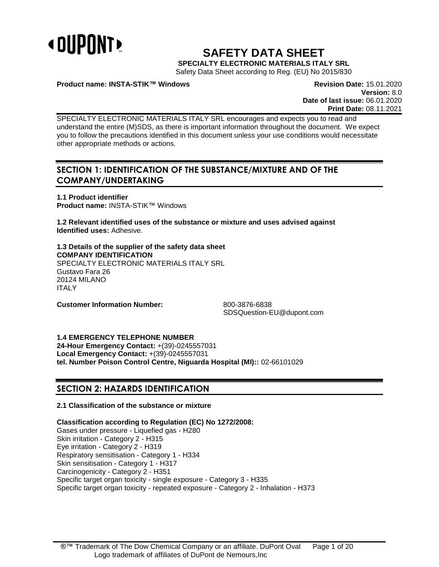

# **SAFETY DATA SHEET**

**SPECIALTY ELECTRONIC MATERIALS ITALY SRL**

Safety Data Sheet according to Reg. (EU) No 2015/830

**Product name: INSTA-STIK™ Windows Revision Date:** 15.01.2020

**Version:** 8.0 **Date of last issue:** 06.01.2020 **Print Date:** 08.11.2021

SPECIALTY ELECTRONIC MATERIALS ITALY SRL encourages and expects you to read and understand the entire (M)SDS, as there is important information throughout the document. We expect you to follow the precautions identified in this document unless your use conditions would necessitate other appropriate methods or actions.

# **SECTION 1: IDENTIFICATION OF THE SUBSTANCE/MIXTURE AND OF THE COMPANY/UNDERTAKING**

**1.1 Product identifier Product name:** INSTA-STIK™ Windows

**1.2 Relevant identified uses of the substance or mixture and uses advised against Identified uses:** Adhesive.

**1.3 Details of the supplier of the safety data sheet COMPANY IDENTIFICATION** SPECIALTY ELECTRONIC MATERIALS ITALY SRL Gustavo Fara 26 20124 MILANO ITALY

**Customer Information Number:** 800-3876-6838

SDSQuestion-EU@dupont.com

**1.4 EMERGENCY TELEPHONE NUMBER**

**24-Hour Emergency Contact:** +(39)-0245557031 **Local Emergency Contact:** +(39)-0245557031 **tel. Number Poison Control Centre, Niguarda Hospital (MI)::** 02-66101029

### **SECTION 2: HAZARDS IDENTIFICATION**

### **2.1 Classification of the substance or mixture**

**Classification according to Regulation (EC) No 1272/2008:**

Gases under pressure - Liquefied gas - H280 Skin irritation - Category 2 - H315 Eye irritation - Category 2 - H319 Respiratory sensitisation - Category 1 - H334 Skin sensitisation - Category 1 - H317 Carcinogenicity - Category 2 - H351 Specific target organ toxicity - single exposure - Category 3 - H335 Specific target organ toxicity - repeated exposure - Category 2 - Inhalation - H373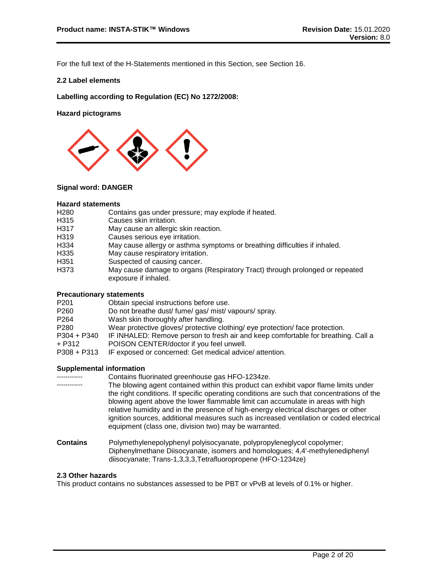For the full text of the H-Statements mentioned in this Section, see Section 16.

#### **2.2 Label elements**

**Labelling according to Regulation (EC) No 1272/2008:**

**Hazard pictograms**



#### **Signal word: DANGER**

#### **Hazard statements**

- H280 Contains gas under pressure; may explode if heated.<br>H315 Causes skin irritation.
- Causes skin irritation.
- H317 May cause an allergic skin reaction.<br>H319 Causes serious eve irritation.
- Causes serious eye irritation.
- H334 May cause allergy or asthma symptoms or breathing difficulties if inhaled.
- H335 May cause respiratory irritation.
- H351 Suspected of causing cancer.
- H373 May cause damage to organs (Respiratory Tract) through prolonged or repeated exposure if inhaled.

#### **Precautionary statements**

| P <sub>201</sub> | Obtain special instructions before use.                                           |
|------------------|-----------------------------------------------------------------------------------|
| P <sub>260</sub> | Do not breathe dust/ fume/ gas/ mist/ vapours/ spray.                             |
| P <sub>264</sub> | Wash skin thoroughly after handling.                                              |
| P <sub>280</sub> | Wear protective gloves/ protective clothing/ eye protection/ face protection.     |
| P304 + P340      | IF INHALED: Remove person to fresh air and keep comfortable for breathing. Call a |
| + P312           | POISON CENTER/doctor if you feel unwell.                                          |
| $P308 + P313$    | IF exposed or concerned: Get medical advice/attention.                            |
|                  |                                                                                   |

#### **Supplemental information**

|                 | Contains fluorinated greenhouse gas HFO-1234ze.                                                                                                                                                                                                                                                                                                                                                                                                                                                                  |
|-----------------|------------------------------------------------------------------------------------------------------------------------------------------------------------------------------------------------------------------------------------------------------------------------------------------------------------------------------------------------------------------------------------------------------------------------------------------------------------------------------------------------------------------|
|                 | The blowing agent contained within this product can exhibit vapor flame limits under<br>the right conditions. If specific operating conditions are such that concentrations of the<br>blowing agent above the lower flammable limit can accumulate in areas with high<br>relative humidity and in the presence of high-energy electrical discharges or other<br>ignition sources, additional measures such as increased ventilation or coded electrical<br>equipment (class one, division two) may be warranted. |
| <b>Contains</b> | Polymethylenepolyphenyl polyisocyanate, polypropyleneglycol copolymer;<br>Diphenylmethane Diisocyanate, isomers and homologues; 4,4'-methylenediphenyl                                                                                                                                                                                                                                                                                                                                                           |

#### **2.3 Other hazards**

This product contains no substances assessed to be PBT or vPvB at levels of 0.1% or higher.

diisocyanate; Trans-1,3,3,3,Tetrafluoropropene (HFO-1234ze)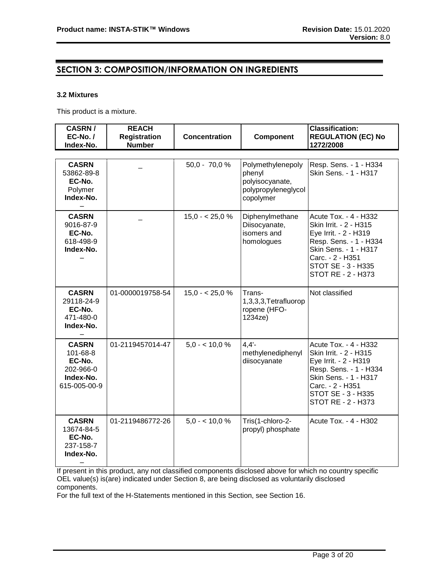## **SECTION 3: COMPOSITION/INFORMATION ON INGREDIENTS**

#### **3.2 Mixtures**

This product is a mixture.

| <b>CASRN/</b><br>$EC-No. /$<br>Index-No.                                     | <b>REACH</b><br><b>Registration</b><br><b>Number</b> | <b>Concentration</b> | <b>Component</b>                                                                   | <b>Classification:</b><br><b>REGULATION (EC) No</b><br>1272/2008                                                                                                                            |
|------------------------------------------------------------------------------|------------------------------------------------------|----------------------|------------------------------------------------------------------------------------|---------------------------------------------------------------------------------------------------------------------------------------------------------------------------------------------|
|                                                                              |                                                      |                      |                                                                                    |                                                                                                                                                                                             |
| <b>CASRN</b><br>53862-89-8<br>EC-No.<br>Polymer<br>Index-No.                 |                                                      | $50,0 - 70,0 %$      | Polymethylenepoly<br>phenyl<br>polyisocyanate,<br>polypropyleneglycol<br>copolymer | Resp. Sens. - 1 - H334<br>Skin Sens. - 1 - H317                                                                                                                                             |
| <b>CASRN</b><br>9016-87-9<br>EC-No.<br>618-498-9<br>Index-No.                |                                                      | $15,0 - 25,0 %$      | Diphenylmethane<br>Diisocyanate,<br>isomers and<br>homologues                      | Acute Tox. - 4 - H332<br>Skin Irrit. - 2 - H315<br>Eye Irrit. - 2 - H319<br>Resp. Sens. - 1 - H334<br>Skin Sens. - 1 - H317<br>Carc. - 2 - H351<br>STOT SE - 3 - H335<br>STOT RE - 2 - H373 |
| <b>CASRN</b><br>29118-24-9<br>EC-No.<br>471-480-0<br>Index-No.               | 01-0000019758-54                                     | $15,0 - 25,0 %$      | Trans-<br>1,3,3,3,Tetrafluorop<br>ropene (HFO-<br>1234ze)                          | Not classified                                                                                                                                                                              |
| <b>CASRN</b><br>101-68-8<br>EC-No.<br>202-966-0<br>Index-No.<br>615-005-00-9 | 01-2119457014-47                                     | $5.0 - 10.0 \%$      | 4.4'<br>methylenediphenyl<br>diisocyanate                                          | Acute Tox. - 4 - H332<br>Skin Irrit. - 2 - H315<br>Eye Irrit. - 2 - H319<br>Resp. Sens. - 1 - H334<br>Skin Sens. - 1 - H317<br>Carc. - 2 - H351<br>STOT SE - 3 - H335<br>STOT RE - 2 - H373 |
| <b>CASRN</b><br>13674-84-5<br>EC-No.<br>237-158-7<br>Index-No.               | 01-2119486772-26                                     | $5.0 - 10.0 \%$      | Tris(1-chloro-2-<br>propyl) phosphate                                              | Acute Tox. - 4 - H302                                                                                                                                                                       |

If present in this product, any not classified components disclosed above for which no country specific OEL value(s) is(are) indicated under Section 8, are being disclosed as voluntarily disclosed components.

For the full text of the H-Statements mentioned in this Section, see Section 16.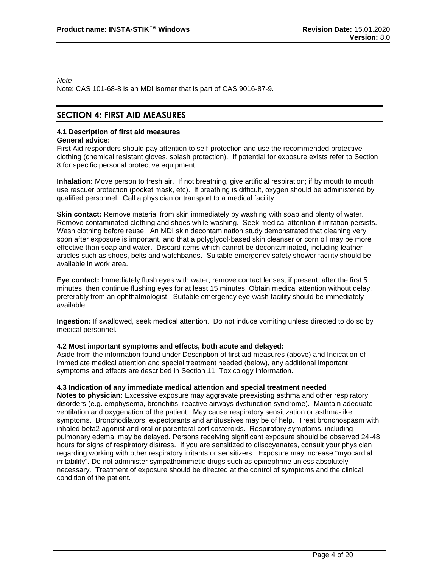*Note*

Note: CAS 101-68-8 is an MDI isomer that is part of CAS 9016-87-9.

### **SECTION 4: FIRST AID MEASURES**

#### **4.1 Description of first aid measures**

#### **General advice:**

First Aid responders should pay attention to self-protection and use the recommended protective clothing (chemical resistant gloves, splash protection). If potential for exposure exists refer to Section 8 for specific personal protective equipment.

**Inhalation:** Move person to fresh air. If not breathing, give artificial respiration; if by mouth to mouth use rescuer protection (pocket mask, etc). If breathing is difficult, oxygen should be administered by qualified personnel. Call a physician or transport to a medical facility.

**Skin contact:** Remove material from skin immediately by washing with soap and plenty of water. Remove contaminated clothing and shoes while washing. Seek medical attention if irritation persists. Wash clothing before reuse. An MDI skin decontamination study demonstrated that cleaning very soon after exposure is important, and that a polyglycol-based skin cleanser or corn oil may be more effective than soap and water. Discard items which cannot be decontaminated, including leather articles such as shoes, belts and watchbands. Suitable emergency safety shower facility should be available in work area.

**Eye contact:** Immediately flush eyes with water; remove contact lenses, if present, after the first 5 minutes, then continue flushing eyes for at least 15 minutes. Obtain medical attention without delay, preferably from an ophthalmologist. Suitable emergency eye wash facility should be immediately available.

**Ingestion:** If swallowed, seek medical attention. Do not induce vomiting unless directed to do so by medical personnel.

#### **4.2 Most important symptoms and effects, both acute and delayed:**

Aside from the information found under Description of first aid measures (above) and Indication of immediate medical attention and special treatment needed (below), any additional important symptoms and effects are described in Section 11: Toxicology Information.

#### **4.3 Indication of any immediate medical attention and special treatment needed**

**Notes to physician:** Excessive exposure may aggravate preexisting asthma and other respiratory disorders (e.g. emphysema, bronchitis, reactive airways dysfunction syndrome). Maintain adequate ventilation and oxygenation of the patient. May cause respiratory sensitization or asthma-like symptoms. Bronchodilators, expectorants and antitussives may be of help. Treat bronchospasm with inhaled beta2 agonist and oral or parenteral corticosteroids. Respiratory symptoms, including pulmonary edema, may be delayed. Persons receiving significant exposure should be observed 24-48 hours for signs of respiratory distress. If you are sensitized to diisocyanates, consult your physician regarding working with other respiratory irritants or sensitizers. Exposure may increase "myocardial irritability". Do not administer sympathomimetic drugs such as epinephrine unless absolutely necessary. Treatment of exposure should be directed at the control of symptoms and the clinical condition of the patient.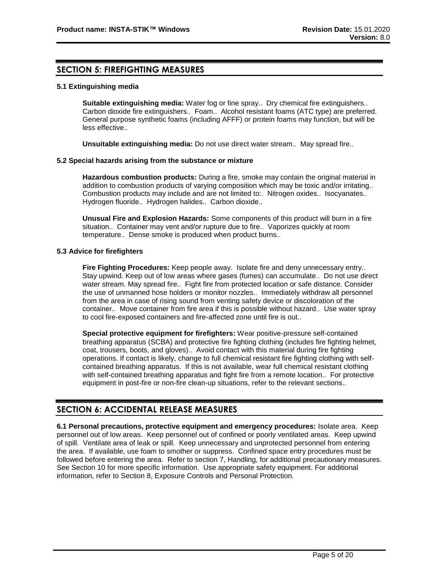### **SECTION 5: FIREFIGHTING MEASURES**

#### **5.1 Extinguishing media**

**Suitable extinguishing media:** Water fog or fine spray.. Dry chemical fire extinguishers.. Carbon dioxide fire extinguishers.. Foam.. Alcohol resistant foams (ATC type) are preferred. General purpose synthetic foams (including AFFF) or protein foams may function, but will be less effective..

**Unsuitable extinguishing media:** Do not use direct water stream.. May spread fire..

#### **5.2 Special hazards arising from the substance or mixture**

**Hazardous combustion products:** During a fire, smoke may contain the original material in addition to combustion products of varying composition which may be toxic and/or irritating.. Combustion products may include and are not limited to:. Nitrogen oxides.. Isocyanates.. Hydrogen fluoride.. Hydrogen halides.. Carbon dioxide..

**Unusual Fire and Explosion Hazards:** Some components of this product will burn in a fire situation.. Container may vent and/or rupture due to fire.. Vaporizes quickly at room temperature.. Dense smoke is produced when product burns..

#### **5.3 Advice for firefighters**

**Fire Fighting Procedures:** Keep people away. Isolate fire and deny unnecessary entry.. Stay upwind. Keep out of low areas where gases (fumes) can accumulate.. Do not use direct water stream. May spread fire.. Fight fire from protected location or safe distance. Consider the use of unmanned hose holders or monitor nozzles.. Immediately withdraw all personnel from the area in case of rising sound from venting safety device or discoloration of the container.. Move container from fire area if this is possible without hazard.. Use water spray to cool fire-exposed containers and fire-affected zone until fire is out..

**Special protective equipment for firefighters:** Wear positive-pressure self-contained breathing apparatus (SCBA) and protective fire fighting clothing (includes fire fighting helmet, coat, trousers, boots, and gloves).. Avoid contact with this material during fire fighting operations. If contact is likely, change to full chemical resistant fire fighting clothing with selfcontained breathing apparatus. If this is not available, wear full chemical resistant clothing with self-contained breathing apparatus and fight fire from a remote location.. For protective equipment in post-fire or non-fire clean-up situations, refer to the relevant sections..

### **SECTION 6: ACCIDENTAL RELEASE MEASURES**

**6.1 Personal precautions, protective equipment and emergency procedures:** Isolate area. Keep personnel out of low areas. Keep personnel out of confined or poorly ventilated areas. Keep upwind of spill. Ventilate area of leak or spill. Keep unnecessary and unprotected personnel from entering the area. If available, use foam to smother or suppress. Confined space entry procedures must be followed before entering the area. Refer to section 7, Handling, for additional precautionary measures. See Section 10 for more specific information. Use appropriate safety equipment. For additional information, refer to Section 8, Exposure Controls and Personal Protection.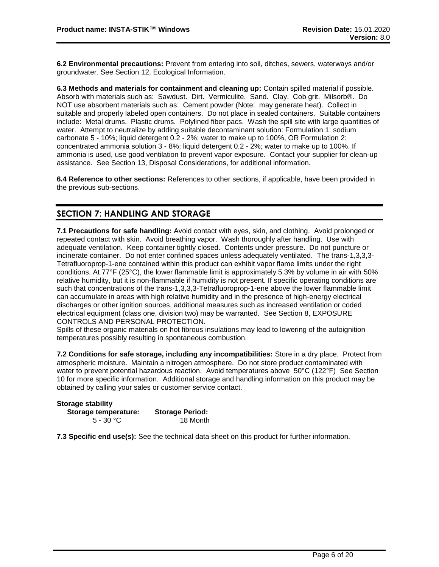**6.2 Environmental precautions:** Prevent from entering into soil, ditches, sewers, waterways and/or groundwater. See Section 12, Ecological Information.

**6.3 Methods and materials for containment and cleaning up:** Contain spilled material if possible. Absorb with materials such as: Sawdust. Dirt. Vermiculite. Sand. Clay. Cob grit. Milsorb®. Do NOT use absorbent materials such as: Cement powder (Note: may generate heat). Collect in suitable and properly labeled open containers. Do not place in sealed containers. Suitable containers include: Metal drums. Plastic drums. Polylined fiber pacs. Wash the spill site with large quantities of water. Attempt to neutralize by adding suitable decontaminant solution: Formulation 1: sodium carbonate 5 - 10%; liquid detergent 0.2 - 2%; water to make up to 100%, OR Formulation 2: concentrated ammonia solution 3 - 8%; liquid detergent 0.2 - 2%; water to make up to 100%. If ammonia is used, use good ventilation to prevent vapor exposure. Contact your supplier for clean-up assistance. See Section 13, Disposal Considerations, for additional information.

**6.4 Reference to other sections:** References to other sections, if applicable, have been provided in the previous sub-sections.

### **SECTION 7: HANDLING AND STORAGE**

**7.1 Precautions for safe handling:** Avoid contact with eyes, skin, and clothing. Avoid prolonged or repeated contact with skin. Avoid breathing vapor. Wash thoroughly after handling. Use with adequate ventilation. Keep container tightly closed. Contents under pressure. Do not puncture or incinerate container. Do not enter confined spaces unless adequately ventilated. The trans-1,3,3,3- Tetrafluoroprop-1-ene contained within this product can exhibit vapor flame limits under the right conditions. At 77°F (25°C), the lower flammable limit is approximately 5.3% by volume in air with 50% relative humidity, but it is non-flammable if humidity is not present. If specific operating conditions are such that concentrations of the trans-1,3,3,3-Tetrafluoroprop-1-ene above the lower flammable limit can accumulate in areas with high relative humidity and in the presence of high-energy electrical discharges or other ignition sources, additional measures such as increased ventilation or coded electrical equipment (class one, division two) may be warranted. See Section 8, EXPOSURE CONTROLS AND PERSONAL PROTECTION.

Spills of these organic materials on hot fibrous insulations may lead to lowering of the autoignition temperatures possibly resulting in spontaneous combustion.

**7.2 Conditions for safe storage, including any incompatibilities:** Store in a dry place. Protect from atmospheric moisture. Maintain a nitrogen atmosphere. Do not store product contaminated with water to prevent potential hazardous reaction. Avoid temperatures above 50°C (122°F) See Section 10 for more specific information. Additional storage and handling information on this product may be obtained by calling your sales or customer service contact.

| <b>Storage stability</b> |                        |
|--------------------------|------------------------|
| Storage temperature:     | <b>Storage Period:</b> |
| 5 - 30 °C                | 18 Month               |

**7.3 Specific end use(s):** See the technical data sheet on this product for further information.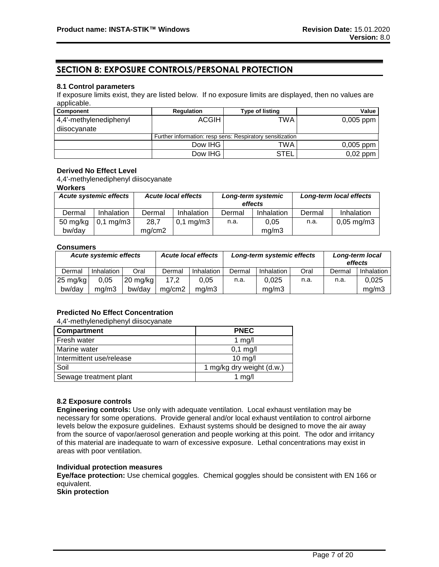### **SECTION 8: EXPOSURE CONTROLS/PERSONAL PROTECTION**

#### **8.1 Control parameters**

If exposure limits exist, they are listed below. If no exposure limits are displayed, then no values are applicable.

| <b>Component</b>       | <b>Regulation</b> | <b>Type of listing</b>                                    | Value       |
|------------------------|-------------------|-----------------------------------------------------------|-------------|
| 4,4'-methylenediphenyl | <b>ACGIH</b>      | TWA                                                       | $0,005$ ppm |
| diisocyanate           |                   |                                                           |             |
|                        |                   | Further information: resp sens: Respiratory sensitization |             |
|                        | Dow IHG           | TWA                                                       | $0,005$ ppm |
|                        | Dow IHG           | <b>STEL</b>                                               | $0,02$ ppm  |

#### **Derived No Effect Level**

4,4'-methylenediphenyl diisocyanate

#### **Workers**

| <b>Acute systemic effects</b> |                      |        | <b>Acute local effects</b> |        | Long-term systemic<br>effects |        | Long-term local effects |
|-------------------------------|----------------------|--------|----------------------------|--------|-------------------------------|--------|-------------------------|
| Dermal                        | Inhalation           | Dermal | Inhalation                 | Dermal | Inhalation                    | Dermal | Inhalation              |
| $50$ mg/kg                    | $0,1 \text{ mg/m}$ 3 | 28,7   | $0,1 \,\mathrm{mg/m3}$     | n.a.   | 0.05                          | n.a.   | $0,05 \,\mathrm{mg/m}$  |
| bw/day                        |                      | mg/cm2 |                            |        | ma/m3                         |        |                         |

#### **Consumers**

| <b>Acute systemic effects</b> |                   |            | <b>Acute local effects</b> |            | Long-term systemic effects |            |      | Long-term local<br>effects |            |
|-------------------------------|-------------------|------------|----------------------------|------------|----------------------------|------------|------|----------------------------|------------|
| Dermal                        | <b>Inhalation</b> | Oral       | Dermal                     | Inhalation | Dermal                     | Inhalation | Oral | Dermal                     | Inhalation |
| $25 \text{ mg/kg}$            | 0.05              | $20$ mg/kg | 17.2                       | 0.05       | n.a.                       | 0.025      | n.a. | n.a.                       | 0,025      |
| bw/dav                        | ma/m3             | bw/dav     | ma/cm2                     | ma/m3      |                            | ma/m3      |      |                            | mg/m3      |

### **Predicted No Effect Concentration**

4,4'-methylenediphenyl diisocyanate

| Compartment              | <b>PNEC</b>               |
|--------------------------|---------------------------|
| Fresh water              | $1$ mg/                   |
| Marine water             | $0,1$ mg/l                |
| Intermittent use/release | $10$ mg/                  |
| Soil                     | 1 mg/kg dry weight (d.w.) |
| Sewage treatment plant   | 1 $mg/l$                  |

#### **8.2 Exposure controls**

**Engineering controls:** Use only with adequate ventilation. Local exhaust ventilation may be necessary for some operations. Provide general and/or local exhaust ventilation to control airborne levels below the exposure guidelines. Exhaust systems should be designed to move the air away from the source of vapor/aerosol generation and people working at this point. The odor and irritancy of this material are inadequate to warn of excessive exposure. Lethal concentrations may exist in areas with poor ventilation.

#### **Individual protection measures**

**Eye/face protection:** Use chemical goggles. Chemical goggles should be consistent with EN 166 or equivalent.

**Skin protection**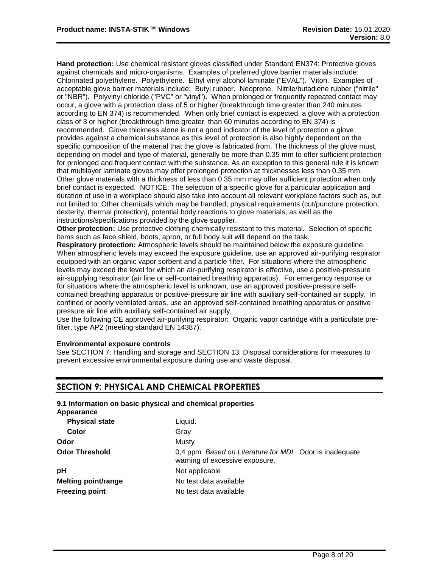**Hand protection:** Use chemical resistant gloves classified under Standard EN374: Protective gloves against chemicals and micro-organisms. Examples of preferred glove barrier materials include: Chlorinated polyethylene. Polyethylene. Ethyl vinyl alcohol laminate ("EVAL"). Viton. Examples of acceptable glove barrier materials include: Butyl rubber. Neoprene. Nitrile/butadiene rubber ("nitrile" or "NBR"). Polyvinyl chloride ("PVC" or "vinyl"). When prolonged or frequently repeated contact may occur, a glove with a protection class of 5 or higher (breakthrough time greater than 240 minutes according to EN 374) is recommended. When only brief contact is expected, a glove with a protection class of 3 or higher (breakthrough time greater than 60 minutes according to EN 374) is recommended. Glove thickness alone is not a good indicator of the level of protection a glove provides against a chemical substance as this level of protection is also highly dependent on the specific composition of the material that the glove is fabricated from. The thickness of the glove must, depending on model and type of material, generally be more than 0.35 mm to offer sufficient protection for prolonged and frequent contact with the substance. As an exception to this general rule it is known that multilayer laminate gloves may offer prolonged protection at thicknesses less than 0.35 mm. Other glove materials with a thickness of less than 0.35 mm may offer sufficient protection when only brief contact is expected. NOTICE: The selection of a specific glove for a particular application and duration of use in a workplace should also take into account all relevant workplace factors such as, but not limited to: Other chemicals which may be handled, physical requirements (cut/puncture protection, dexterity, thermal protection), potential body reactions to glove materials, as well as the instructions/specifications provided by the glove supplier.

**Other protection:** Use protective clothing chemically resistant to this material. Selection of specific items such as face shield, boots, apron, or full body suit will depend on the task.

**Respiratory protection:** Atmospheric levels should be maintained below the exposure guideline. When atmospheric levels may exceed the exposure guideline, use an approved air-purifying respirator equipped with an organic vapor sorbent and a particle filter. For situations where the atmospheric levels may exceed the level for which an air-purifying respirator is effective, use a positive-pressure air-supplying respirator (air line or self-contained breathing apparatus). For emergency response or for situations where the atmospheric level is unknown, use an approved positive-pressure selfcontained breathing apparatus or positive-pressure air line with auxiliary self-contained air supply. In confined or poorly ventilated areas, use an approved self-contained breathing apparatus or positive pressure air line with auxiliary self-contained air supply.

Use the following CE approved air-purifying respirator: Organic vapor cartridge with a particulate prefilter, type AP2 (meeting standard EN 14387).

#### **Environmental exposure controls**

See SECTION 7: Handling and storage and SECTION 13: Disposal considerations for measures to prevent excessive environmental exposure during use and waste disposal.

### **SECTION 9: PHYSICAL AND CHEMICAL PROPERTIES**

| Appearance                 | 9.1 Information on basic physical and chemical properties                                 |
|----------------------------|-------------------------------------------------------------------------------------------|
| <b>Physical state</b>      | Liguid.                                                                                   |
| Color                      | Gray                                                                                      |
| Odor                       | Musty                                                                                     |
| <b>Odor Threshold</b>      | 0,4 ppm Based on Literature for MDI. Odor is inadequate<br>warning of excessive exposure. |
| pH                         | Not applicable                                                                            |
| <b>Melting point/range</b> | No test data available                                                                    |
| <b>Freezing point</b>      | No test data available                                                                    |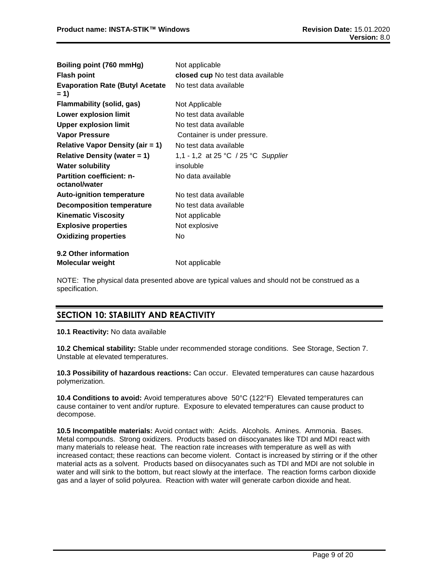| Boiling point (760 mmHg)                          | Not applicable                      |
|---------------------------------------------------|-------------------------------------|
| <b>Flash point</b>                                | closed cup No test data available   |
| <b>Evaporation Rate (Butyl Acetate</b><br>$= 1$   | No test data available              |
| Flammability (solid, gas)                         | Not Applicable                      |
| <b>Lower explosion limit</b>                      | No test data available              |
| <b>Upper explosion limit</b>                      | No test data available              |
| <b>Vapor Pressure</b>                             | Container is under pressure.        |
| <b>Relative Vapor Density (air = 1)</b>           | No test data available              |
| <b>Relative Density (water = 1)</b>               | 1,1 - 1,2 at 25 °C / 25 °C Supplier |
| <b>Water solubility</b>                           | insoluble                           |
| <b>Partition coefficient: n-</b><br>octanol/water | No data available                   |
| <b>Auto-ignition temperature</b>                  | No test data available              |
| <b>Decomposition temperature</b>                  | No test data available              |
| <b>Kinematic Viscosity</b>                        | Not applicable                      |
| <b>Explosive properties</b>                       | Not explosive                       |
| <b>Oxidizing properties</b>                       | No                                  |
| 9.2 Other information                             |                                     |
| <b>Molecular weight</b>                           | Not applicable                      |

NOTE: The physical data presented above are typical values and should not be construed as a specification.

# **SECTION 10: STABILITY AND REACTIVITY**

**10.1 Reactivity:** No data available

**10.2 Chemical stability:** Stable under recommended storage conditions. See Storage, Section 7. Unstable at elevated temperatures.

**10.3 Possibility of hazardous reactions:** Can occur. Elevated temperatures can cause hazardous polymerization.

**10.4 Conditions to avoid:** Avoid temperatures above 50°C (122°F) Elevated temperatures can cause container to vent and/or rupture. Exposure to elevated temperatures can cause product to decompose.

**10.5 Incompatible materials:** Avoid contact with: Acids. Alcohols. Amines. Ammonia. Bases. Metal compounds. Strong oxidizers. Products based on diisocyanates like TDI and MDI react with many materials to release heat. The reaction rate increases with temperature as well as with increased contact; these reactions can become violent. Contact is increased by stirring or if the other material acts as a solvent. Products based on diisocyanates such as TDI and MDI are not soluble in water and will sink to the bottom, but react slowly at the interface. The reaction forms carbon dioxide gas and a layer of solid polyurea. Reaction with water will generate carbon dioxide and heat.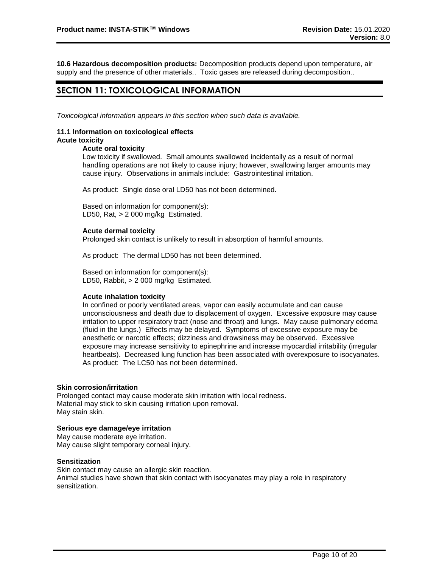**10.6 Hazardous decomposition products:** Decomposition products depend upon temperature, air supply and the presence of other materials.. Toxic gases are released during decomposition..

### **SECTION 11: TOXICOLOGICAL INFORMATION**

*Toxicological information appears in this section when such data is available.*

#### **11.1 Information on toxicological effects Acute toxicity**

#### **Acute oral toxicity**

Low toxicity if swallowed. Small amounts swallowed incidentally as a result of normal handling operations are not likely to cause injury; however, swallowing larger amounts may cause injury. Observations in animals include: Gastrointestinal irritation.

As product: Single dose oral LD50 has not been determined.

Based on information for component(s): LD50, Rat, > 2 000 mg/kg Estimated.

#### **Acute dermal toxicity**

Prolonged skin contact is unlikely to result in absorption of harmful amounts.

As product: The dermal LD50 has not been determined.

Based on information for component(s): LD50, Rabbit, > 2 000 mg/kg Estimated.

#### **Acute inhalation toxicity**

In confined or poorly ventilated areas, vapor can easily accumulate and can cause unconsciousness and death due to displacement of oxygen. Excessive exposure may cause irritation to upper respiratory tract (nose and throat) and lungs. May cause pulmonary edema (fluid in the lungs.) Effects may be delayed. Symptoms of excessive exposure may be anesthetic or narcotic effects; dizziness and drowsiness may be observed. Excessive exposure may increase sensitivity to epinephrine and increase myocardial irritability (irregular heartbeats). Decreased lung function has been associated with overexposure to isocyanates. As product: The LC50 has not been determined.

#### **Skin corrosion/irritation**

Prolonged contact may cause moderate skin irritation with local redness. Material may stick to skin causing irritation upon removal. May stain skin.

#### **Serious eye damage/eye irritation**

May cause moderate eye irritation. May cause slight temporary corneal injury.

#### **Sensitization**

Skin contact may cause an allergic skin reaction.

Animal studies have shown that skin contact with isocyanates may play a role in respiratory sensitization.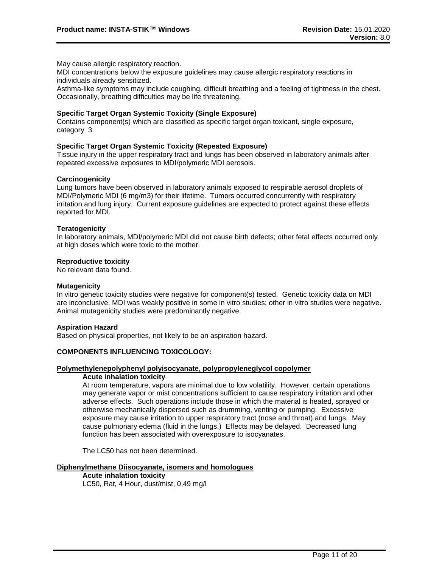May cause allergic respiratory reaction.

MDI concentrations below the exposure guidelines may cause allergic respiratory reactions in individuals already sensitized.

Asthma-like symptoms may include coughing, difficult breathing and a feeling of tightness in the chest. Occasionally, breathing difficulties may be life threatening.

#### **Specific Target Organ Systemic Toxicity (Single Exposure)**

Contains component(s) which are classified as specific target organ toxicant, single exposure, category 3.

#### **Specific Target Organ Systemic Toxicity (Repeated Exposure)**

Tissue injury in the upper respiratory tract and lungs has been observed in laboratory animals after repeated excessive exposures to MDI/polymeric MDI aerosols.

#### **Carcinogenicity**

Lung tumors have been observed in laboratory animals exposed to respirable aerosol droplets of MDI/Polymeric MDI (6 mg/m3) for their lifetime. Tumors occurred concurrently with respiratory irritation and lung injury. Current exposure guidelines are expected to protect against these effects reported for MDI.

#### **Teratogenicity**

In laboratory animals, MDI/polymeric MDI did not cause birth defects; other fetal effects occurred only at high doses which were toxic to the mother.

#### **Reproductive toxicity**

No relevant data found.

#### **Mutagenicity**

In vitro genetic toxicity studies were negative for component(s) tested. Genetic toxicity data on MDI are inconclusive. MDI was weakly positive in some in vitro studies; other in vitro studies were negative. Animal mutagenicity studies were predominantly negative.

#### **Aspiration Hazard**

Based on physical properties, not likely to be an aspiration hazard.

#### **COMPONENTS INFLUENCING TOXICOLOGY:**

#### **Polymethylenepolyphenyl polyisocyanate, polypropyleneglycol copolymer**

#### **Acute inhalation toxicity**

At room temperature, vapors are minimal due to low volatility. However, certain operations may generate vapor or mist concentrations sufficient to cause respiratory irritation and other adverse effects. Such operations include those in which the material is heated, sprayed or otherwise mechanically dispersed such as drumming, venting or pumping. Excessive exposure may cause irritation to upper respiratory tract (nose and throat) and lungs. May cause pulmonary edema (fluid in the lungs.) Effects may be delayed. Decreased lung function has been associated with overexposure to isocyanates.

The LC50 has not been determined.

#### **Diphenylmethane Diisocyanate, isomers and homologues**

**Acute inhalation toxicity** LC50, Rat, 4 Hour, dust/mist, 0,49 mg/l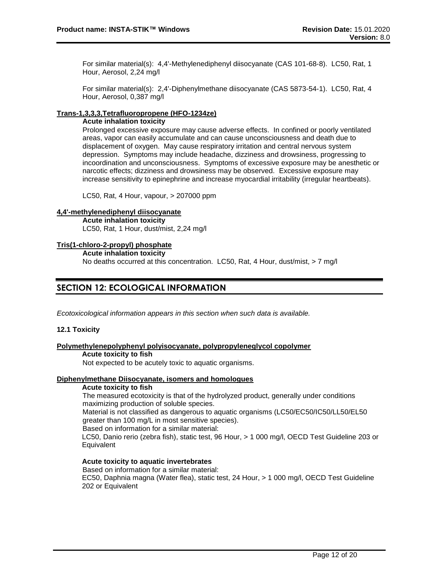For similar material(s): 4,4'-Methylenediphenyl diisocyanate (CAS 101-68-8). LC50, Rat, 1 Hour, Aerosol, 2,24 mg/l

For similar material(s): 2,4'-Diphenylmethane diisocyanate (CAS 5873-54-1). LC50, Rat, 4 Hour, Aerosol, 0,387 mg/l

#### **Trans-1,3,3,3,Tetrafluoropropene (HFO-1234ze)**

#### **Acute inhalation toxicity**

Prolonged excessive exposure may cause adverse effects. In confined or poorly ventilated areas, vapor can easily accumulate and can cause unconsciousness and death due to displacement of oxygen. May cause respiratory irritation and central nervous system depression. Symptoms may include headache, dizziness and drowsiness, progressing to incoordination and unconsciousness. Symptoms of excessive exposure may be anesthetic or narcotic effects; dizziness and drowsiness may be observed. Excessive exposure may increase sensitivity to epinephrine and increase myocardial irritability (irregular heartbeats).

LC50, Rat, 4 Hour, vapour, > 207000 ppm

#### **4,4'-methylenediphenyl diisocyanate**

**Acute inhalation toxicity** LC50, Rat, 1 Hour, dust/mist, 2,24 mg/l

#### **Tris(1-chloro-2-propyl) phosphate**

**Acute inhalation toxicity**

No deaths occurred at this concentration. LC50, Rat, 4 Hour, dust/mist, > 7 mg/l

### **SECTION 12: ECOLOGICAL INFORMATION**

*Ecotoxicological information appears in this section when such data is available.*

#### **12.1 Toxicity**

### **Polymethylenepolyphenyl polyisocyanate, polypropyleneglycol copolymer**

#### **Acute toxicity to fish**

Not expected to be acutely toxic to aquatic organisms.

#### **Diphenylmethane Diisocyanate, isomers and homologues**

#### **Acute toxicity to fish**

The measured ecotoxicity is that of the hydrolyzed product, generally under conditions maximizing production of soluble species.

Material is not classified as dangerous to aquatic organisms (LC50/EC50/IC50/LL50/EL50 greater than 100 mg/L in most sensitive species).

Based on information for a similar material:

LC50, Danio rerio (zebra fish), static test, 96 Hour, > 1 000 mg/l, OECD Test Guideline 203 or **Equivalent** 

### **Acute toxicity to aquatic invertebrates**

Based on information for a similar material: EC50, Daphnia magna (Water flea), static test, 24 Hour, > 1 000 mg/l, OECD Test Guideline 202 or Equivalent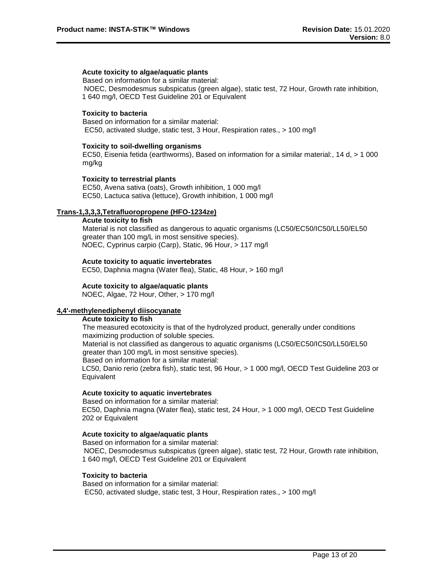### **Acute toxicity to algae/aquatic plants**

Based on information for a similar material: NOEC, Desmodesmus subspicatus (green algae), static test, 72 Hour, Growth rate inhibition, 1 640 mg/l, OECD Test Guideline 201 or Equivalent

#### **Toxicity to bacteria**

Based on information for a similar material: EC50, activated sludge, static test, 3 Hour, Respiration rates., > 100 mg/l

#### **Toxicity to soil-dwelling organisms**

EC50, Eisenia fetida (earthworms), Based on information for a similar material:, 14 d, > 1 000 mg/kg

#### **Toxicity to terrestrial plants**

EC50, Avena sativa (oats), Growth inhibition, 1 000 mg/l EC50, Lactuca sativa (lettuce), Growth inhibition, 1 000 mg/l

#### **Trans-1,3,3,3,Tetrafluoropropene (HFO-1234ze)**

**Acute toxicity to fish** Material is not classified as dangerous to aquatic organisms (LC50/EC50/IC50/LL50/EL50 greater than 100 mg/L in most sensitive species). NOEC, Cyprinus carpio (Carp), Static, 96 Hour, > 117 mg/l

#### **Acute toxicity to aquatic invertebrates**

EC50, Daphnia magna (Water flea), Static, 48 Hour, > 160 mg/l

#### **Acute toxicity to algae/aquatic plants**

NOEC, Algae, 72 Hour, Other, > 170 mg/l

#### **4,4'-methylenediphenyl diisocyanate**

#### **Acute toxicity to fish**

The measured ecotoxicity is that of the hydrolyzed product, generally under conditions maximizing production of soluble species. Material is not classified as dangerous to aquatic organisms (LC50/EC50/IC50/LL50/EL50 greater than 100 mg/L in most sensitive species).

Based on information for a similar material:

LC50, Danio rerio (zebra fish), static test, 96 Hour, > 1 000 mg/l, OECD Test Guideline 203 or **Equivalent** 

#### **Acute toxicity to aquatic invertebrates**

Based on information for a similar material: EC50, Daphnia magna (Water flea), static test, 24 Hour, > 1 000 mg/l, OECD Test Guideline 202 or Equivalent

#### **Acute toxicity to algae/aquatic plants**

Based on information for a similar material: NOEC, Desmodesmus subspicatus (green algae), static test, 72 Hour, Growth rate inhibition, 1 640 mg/l, OECD Test Guideline 201 or Equivalent

#### **Toxicity to bacteria**

Based on information for a similar material: EC50, activated sludge, static test, 3 Hour, Respiration rates., > 100 mg/l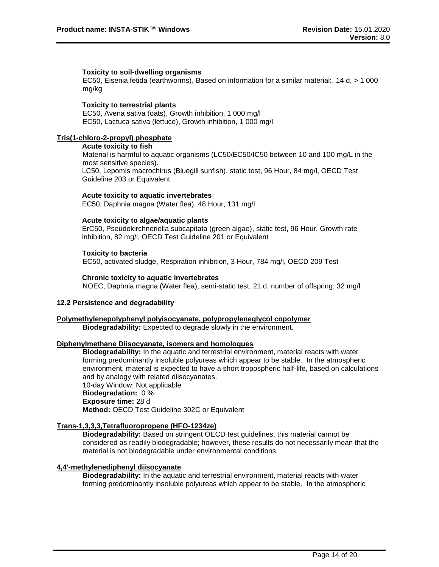#### **Toxicity to soil-dwelling organisms**

EC50, Eisenia fetida (earthworms), Based on information for a similar material:, 14 d, > 1 000 mg/kg

#### **Toxicity to terrestrial plants**

EC50, Avena sativa (oats), Growth inhibition, 1 000 mg/l EC50, Lactuca sativa (lettuce), Growth inhibition, 1 000 mg/l

#### **Tris(1-chloro-2-propyl) phosphate**

#### **Acute toxicity to fish**

Material is harmful to aquatic organisms (LC50/EC50/IC50 between 10 and 100 mg/L in the most sensitive species). LC50, Lepomis macrochirus (Bluegill sunfish), static test, 96 Hour, 84 mg/l, OECD Test Guideline 203 or Equivalent

#### **Acute toxicity to aquatic invertebrates**

EC50, Daphnia magna (Water flea), 48 Hour, 131 mg/l

#### **Acute toxicity to algae/aquatic plants**

ErC50, Pseudokirchneriella subcapitata (green algae), static test, 96 Hour, Growth rate inhibition, 82 mg/l, OECD Test Guideline 201 or Equivalent

#### **Toxicity to bacteria**

EC50, activated sludge, Respiration inhibition, 3 Hour, 784 mg/l, OECD 209 Test

#### **Chronic toxicity to aquatic invertebrates**

NOEC, Daphnia magna (Water flea), semi-static test, 21 d, number of offspring, 32 mg/l

#### **12.2 Persistence and degradability**

#### **Polymethylenepolyphenyl polyisocyanate, polypropyleneglycol copolymer**

**Biodegradability:** Expected to degrade slowly in the environment.

#### **Diphenylmethane Diisocyanate, isomers and homologues**

**Biodegradability:** In the aquatic and terrestrial environment, material reacts with water forming predominantly insoluble polyureas which appear to be stable. In the atmospheric environment, material is expected to have a short tropospheric half-life, based on calculations and by analogy with related diisocyanates. 10-day Window: Not applicable

# **Biodegradation:** 0 %

# **Exposure time:** 28 d

**Method:** OECD Test Guideline 302C or Equivalent

#### **Trans-1,3,3,3,Tetrafluoropropene (HFO-1234ze)**

**Biodegradability:** Based on stringent OECD test guidelines, this material cannot be considered as readily biodegradable; however, these results do not necessarily mean that the material is not biodegradable under environmental conditions.

#### **4,4'-methylenediphenyl diisocyanate**

**Biodegradability:** In the aquatic and terrestrial environment, material reacts with water forming predominantly insoluble polyureas which appear to be stable. In the atmospheric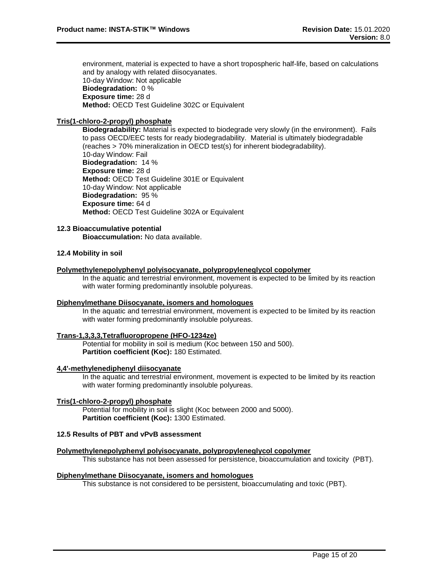environment, material is expected to have a short tropospheric half-life, based on calculations and by analogy with related diisocyanates. 10-day Window: Not applicable **Biodegradation:** 0 % **Exposure time:** 28 d **Method:** OECD Test Guideline 302C or Equivalent

#### **Tris(1-chloro-2-propyl) phosphate**

**Biodegradability:** Material is expected to biodegrade very slowly (in the environment). Fails to pass OECD/EEC tests for ready biodegradability. Material is ultimately biodegradable (reaches > 70% mineralization in OECD test(s) for inherent biodegradability). 10-day Window: Fail **Biodegradation:** 14 % **Exposure time:** 28 d **Method:** OECD Test Guideline 301E or Equivalent 10-day Window: Not applicable **Biodegradation:** 95 % **Exposure time:** 64 d **Method:** OECD Test Guideline 302A or Equivalent

#### **12.3 Bioaccumulative potential**

**Bioaccumulation:** No data available.

#### **12.4 Mobility in soil**

#### **Polymethylenepolyphenyl polyisocyanate, polypropyleneglycol copolymer**

In the aquatic and terrestrial environment, movement is expected to be limited by its reaction with water forming predominantly insoluble polyureas.

#### **Diphenylmethane Diisocyanate, isomers and homologues**

In the aquatic and terrestrial environment, movement is expected to be limited by its reaction with water forming predominantly insoluble polyureas.

#### **Trans-1,3,3,3,Tetrafluoropropene (HFO-1234ze)**

Potential for mobility in soil is medium (Koc between 150 and 500). **Partition coefficient (Koc):** 180 Estimated.

#### **4,4'-methylenediphenyl diisocyanate**

In the aquatic and terrestrial environment, movement is expected to be limited by its reaction with water forming predominantly insoluble polyureas.

#### **Tris(1-chloro-2-propyl) phosphate**

Potential for mobility in soil is slight (Koc between 2000 and 5000). **Partition coefficient (Koc):** 1300 Estimated.

#### **12.5 Results of PBT and vPvB assessment**

#### **Polymethylenepolyphenyl polyisocyanate, polypropyleneglycol copolymer**

This substance has not been assessed for persistence, bioaccumulation and toxicity (PBT).

#### **Diphenylmethane Diisocyanate, isomers and homologues**

This substance is not considered to be persistent, bioaccumulating and toxic (PBT).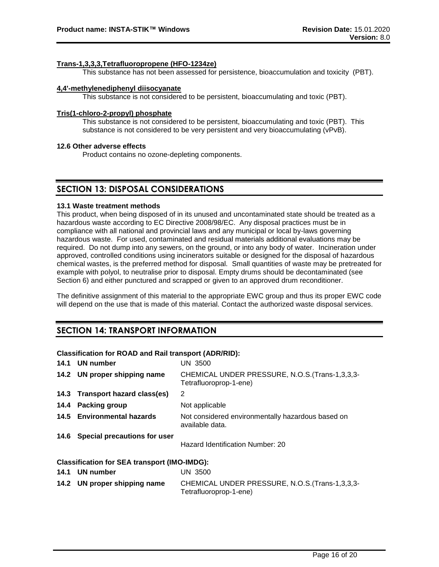#### **Trans-1,3,3,3,Tetrafluoropropene (HFO-1234ze)**

This substance has not been assessed for persistence, bioaccumulation and toxicity (PBT).

#### **4,4'-methylenediphenyl diisocyanate**

This substance is not considered to be persistent, bioaccumulating and toxic (PBT).

#### **Tris(1-chloro-2-propyl) phosphate**

This substance is not considered to be persistent, bioaccumulating and toxic (PBT). This substance is not considered to be very persistent and very bioaccumulating (vPvB).

#### **12.6 Other adverse effects**

Product contains no ozone-depleting components.

### **SECTION 13: DISPOSAL CONSIDERATIONS**

#### **13.1 Waste treatment methods**

This product, when being disposed of in its unused and uncontaminated state should be treated as a hazardous waste according to EC Directive 2008/98/EC. Any disposal practices must be in compliance with all national and provincial laws and any municipal or local by-laws governing hazardous waste. For used, contaminated and residual materials additional evaluations may be required. Do not dump into any sewers, on the ground, or into any body of water. Incineration under approved, controlled conditions using incinerators suitable or designed for the disposal of hazardous chemical wastes, is the preferred method for disposal. Small quantities of waste may be pretreated for example with polyol, to neutralise prior to disposal. Empty drums should be decontaminated (see Section 6) and either punctured and scrapped or given to an approved drum reconditioner.

The definitive assignment of this material to the appropriate EWC group and thus its proper EWC code will depend on the use that is made of this material. Contact the authorized waste disposal services.

### **SECTION 14: TRANSPORT INFORMATION**

#### **Classification for ROAD and Rail transport (ADR/RID):**

| 14.1 UN number                                      | <b>UN 3500</b>                                                            |
|-----------------------------------------------------|---------------------------------------------------------------------------|
| 14.2 UN proper shipping name                        | CHEMICAL UNDER PRESSURE, N.O.S. (Trans-1,3,3,3-<br>Tetrafluoroprop-1-ene) |
| 14.3 Transport hazard class(es)                     | 2                                                                         |
| 14.4 Packing group                                  | Not applicable                                                            |
| 14.5 Environmental hazards                          | Not considered environmentally hazardous based on<br>available data.      |
| 14.6 Special precautions for user                   | Hazard Identification Number: 20                                          |
| <b>Classification for SEA transport (IMO-IMDG):</b> |                                                                           |
| 14.1 UN number                                      | <b>UN 3500</b>                                                            |
| 14.2 UN proper shipping name                        | CHEMICAL UNDER PRESSURE, N.O.S. (Trans-1,3,3,3-                           |

Tetrafluoroprop-1-ene)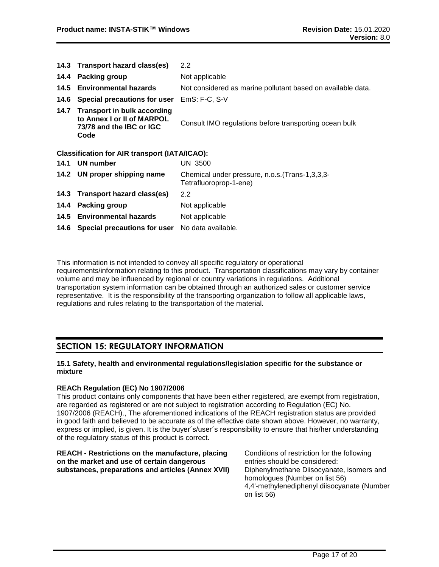|      | 14.3 Transport hazard class(es)                                                                    | 2.2                                                                       |
|------|----------------------------------------------------------------------------------------------------|---------------------------------------------------------------------------|
|      | 14.4 Packing group                                                                                 | Not applicable                                                            |
|      | 14.5 Environmental hazards                                                                         | Not considered as marine pollutant based on available data.               |
| 14.6 | Special precautions for user                                                                       | $EmS: F-C, S-V$                                                           |
|      | 14.7 Transport in bulk according<br>to Annex I or II of MARPOL<br>73/78 and the IBC or IGC<br>Code | Consult IMO regulations before transporting ocean bulk                    |
|      | <b>Classification for AIR transport (IATA/ICAO):</b>                                               |                                                                           |
|      | 14.1 UN number                                                                                     | UN 3500                                                                   |
|      | 14.2 UN proper shipping name                                                                       | Chemical under pressure, n.o.s. (Trans-1,3,3,3-<br>Tetrafluoroprop-1-ene) |
|      | 14.3 Transport hazard class(es)                                                                    | $2.2\phantom{0}$                                                          |
|      | 14.4 Packing group                                                                                 | Not applicable                                                            |
|      | 14.5 Environmental hazards                                                                         | Not applicable                                                            |
|      | 14.6 Special precautions for user                                                                  | No data available.                                                        |

This information is not intended to convey all specific regulatory or operational requirements/information relating to this product. Transportation classifications may vary by container volume and may be influenced by regional or country variations in regulations. Additional transportation system information can be obtained through an authorized sales or customer service representative. It is the responsibility of the transporting organization to follow all applicable laws, regulations and rules relating to the transportation of the material.

### **SECTION 15: REGULATORY INFORMATION**

#### **15.1 Safety, health and environmental regulations/legislation specific for the substance or mixture**

#### **REACh Regulation (EC) No 1907/2006**

This product contains only components that have been either registered, are exempt from registration, are regarded as registered or are not subject to registration according to Regulation (EC) No. 1907/2006 (REACH)., The aforementioned indications of the REACH registration status are provided in good faith and believed to be accurate as of the effective date shown above. However, no warranty, express or implied, is given. It is the buyer´s/user´s responsibility to ensure that his/her understanding of the regulatory status of this product is correct.

| REACH - Restrictions on the manufacture, placing   | Conditions of restriction for the following                                                                                               |
|----------------------------------------------------|-------------------------------------------------------------------------------------------------------------------------------------------|
| on the market and use of certain dangerous         | entries should be considered:                                                                                                             |
| substances, preparations and articles (Annex XVII) | Diphenylmethane Diisocyanate, isomers and<br>homologues (Number on list 56)<br>4,4'-methylenediphenyl diisocyanate (Number<br>on list 56) |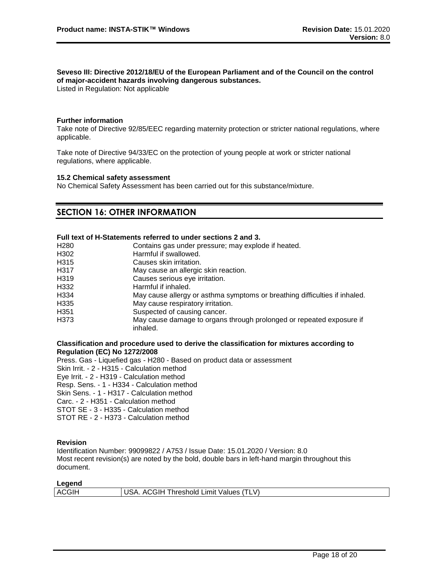### **Seveso III: Directive 2012/18/EU of the European Parliament and of the Council on the control of major-accident hazards involving dangerous substances.**

Listed in Regulation: Not applicable

#### **Further information**

Take note of Directive 92/85/EEC regarding maternity protection or stricter national regulations, where applicable.

Take note of Directive 94/33/EC on the protection of young people at work or stricter national regulations, where applicable.

#### **15.2 Chemical safety assessment**

No Chemical Safety Assessment has been carried out for this substance/mixture.

### **SECTION 16: OTHER INFORMATION**

#### **Full text of H-Statements referred to under sections 2 and 3.**

| H <sub>280</sub>  | Contains gas under pressure; may explode if heated.                              |
|-------------------|----------------------------------------------------------------------------------|
| H302              | Harmful if swallowed.                                                            |
| H <sub>315</sub>  | Causes skin irritation.                                                          |
| H317              | May cause an allergic skin reaction.                                             |
| H <sub>3</sub> 19 | Causes serious eye irritation.                                                   |
| H332              | Harmful if inhaled.                                                              |
| H334              | May cause allergy or asthma symptoms or breathing difficulties if inhaled.       |
| H335              | May cause respiratory irritation.                                                |
| H <sub>351</sub>  | Suspected of causing cancer.                                                     |
| H373              | May cause damage to organs through prolonged or repeated exposure if<br>inhaled. |

#### **Classification and procedure used to derive the classification for mixtures according to Regulation (EC) No 1272/2008**

Press. Gas - Liquefied gas - H280 - Based on product data or assessment Skin Irrit. - 2 - H315 - Calculation method Eye Irrit. - 2 - H319 - Calculation method Resp. Sens. - 1 - H334 - Calculation method Skin Sens. - 1 - H317 - Calculation method Carc. - 2 - H351 - Calculation method STOT SE - 3 - H335 - Calculation method STOT RE - 2 - H373 - Calculation method

#### **Revision**

Identification Number: 99099822 / A753 / Issue Date: 15.01.2020 / Version: 8.0 Most recent revision(s) are noted by the bold, double bars in left-hand margin throughout this document.

| Legend |                                         |
|--------|-----------------------------------------|
| ACGIH  | USA. ACGIH Threshold Limit Values (TLV) |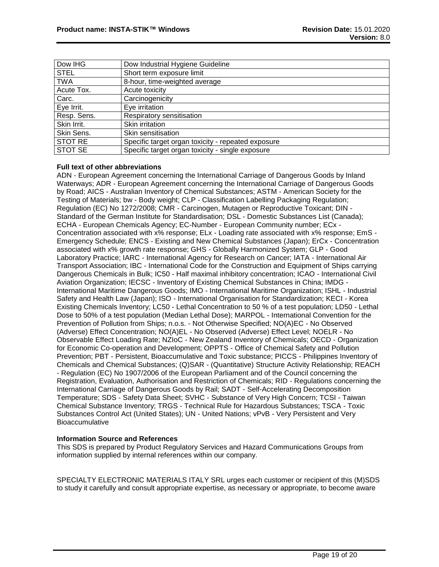| Dow IHG     | Dow Industrial Hygiene Guideline                   |
|-------------|----------------------------------------------------|
| <b>STEL</b> | Short term exposure limit                          |
| <b>TWA</b>  | 8-hour, time-weighted average                      |
| Acute Tox.  | Acute toxicity                                     |
| Carc.       | Carcinogenicity                                    |
| Eye Irrit.  | Eye irritation                                     |
| Resp. Sens. | Respiratory sensitisation                          |
| Skin Irrit. | Skin irritation                                    |
| Skin Sens.  | Skin sensitisation                                 |
| STOT RE     | Specific target organ toxicity - repeated exposure |
| STOT SE     | Specific target organ toxicity - single exposure   |

#### **Full text of other abbreviations**

ADN - European Agreement concerning the International Carriage of Dangerous Goods by Inland Waterways; ADR - European Agreement concerning the International Carriage of Dangerous Goods by Road; AICS - Australian Inventory of Chemical Substances; ASTM - American Society for the Testing of Materials; bw - Body weight; CLP - Classification Labelling Packaging Regulation; Regulation (EC) No 1272/2008; CMR - Carcinogen, Mutagen or Reproductive Toxicant; DIN - Standard of the German Institute for Standardisation; DSL - Domestic Substances List (Canada); ECHA - European Chemicals Agency; EC-Number - European Community number; ECx - Concentration associated with x% response; ELx - Loading rate associated with x% response; EmS - Emergency Schedule; ENCS - Existing and New Chemical Substances (Japan); ErCx - Concentration associated with x% growth rate response; GHS - Globally Harmonized System; GLP - Good Laboratory Practice; IARC - International Agency for Research on Cancer; IATA - International Air Transport Association; IBC - International Code for the Construction and Equipment of Ships carrying Dangerous Chemicals in Bulk; IC50 - Half maximal inhibitory concentration; ICAO - International Civil Aviation Organization; IECSC - Inventory of Existing Chemical Substances in China; IMDG - International Maritime Dangerous Goods; IMO - International Maritime Organization; ISHL - Industrial Safety and Health Law (Japan); ISO - International Organisation for Standardization; KECI - Korea Existing Chemicals Inventory; LC50 - Lethal Concentration to 50 % of a test population; LD50 - Lethal Dose to 50% of a test population (Median Lethal Dose); MARPOL - International Convention for the Prevention of Pollution from Ships; n.o.s. - Not Otherwise Specified; NO(A)EC - No Observed (Adverse) Effect Concentration; NO(A)EL - No Observed (Adverse) Effect Level; NOELR - No Observable Effect Loading Rate; NZIoC - New Zealand Inventory of Chemicals; OECD - Organization for Economic Co-operation and Development; OPPTS - Office of Chemical Safety and Pollution Prevention; PBT - Persistent, Bioaccumulative and Toxic substance; PICCS - Philippines Inventory of Chemicals and Chemical Substances; (Q)SAR - (Quantitative) Structure Activity Relationship; REACH - Regulation (EC) No 1907/2006 of the European Parliament and of the Council concerning the Registration, Evaluation, Authorisation and Restriction of Chemicals; RID - Regulations concerning the International Carriage of Dangerous Goods by Rail; SADT - Self-Accelerating Decomposition Temperature; SDS - Safety Data Sheet; SVHC - Substance of Very High Concern; TCSI - Taiwan Chemical Substance Inventory; TRGS - Technical Rule for Hazardous Substances; TSCA - Toxic Substances Control Act (United States); UN - United Nations; vPvB - Very Persistent and Very **Bioaccumulative** 

#### **Information Source and References**

This SDS is prepared by Product Regulatory Services and Hazard Communications Groups from information supplied by internal references within our company.

SPECIALTY ELECTRONIC MATERIALS ITALY SRL urges each customer or recipient of this (M)SDS to study it carefully and consult appropriate expertise, as necessary or appropriate, to become aware